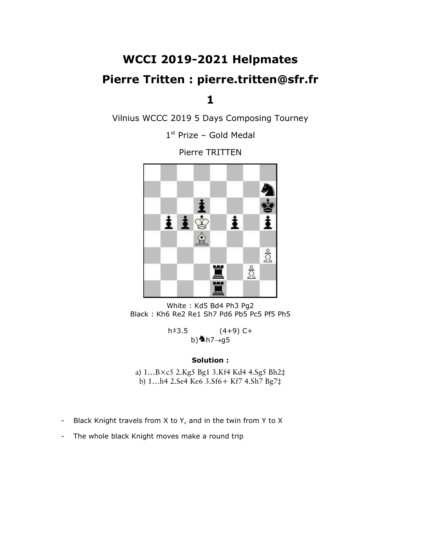## WCCI 2019-2021 Helpmates

## Pierre Tritten : pierre.tritten@sfr.fr

1

Vilnius WCCC 2019 5 Days Composing Tourney

1 st Prize – Gold Medal

Pierre TRITTEN



White : Kd5 Bd4 Ph3 Pg2 Black : Kh6 Re2 Re1 Sh7 Pd6 Pb5 Pc5 Pf5 Ph5

 $h \neq 3.5$  (4+9) C+ b) $\spadesuit$ h7 $\rightarrow$ g5

#### Solution :

a) 1…B×c5 2.Kg5 Bg1 3.Kf4 Kd4 4.Sg5 Bh2‡ b) 1…h4 2.Se4 Ke6 3.Sf6+ Kf7 4.Sh7 Bg7‡

- Black Knight travels from X to Y, and in the twin from Y to X
- The whole black Knight moves make a round trip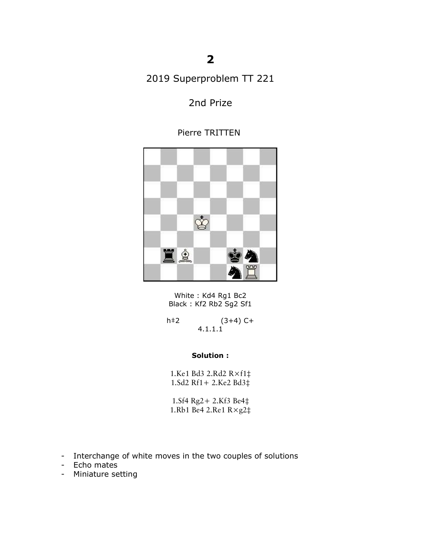## 2

2019 Superproblem TT 221

### 2nd Prize

### Pierre TRITTEN



White : Kd4 Rg1 Bc2 Black: Kf2 Rb2 Sg2 Sf1

h‡2 (3+4) C+ 4.1.1.1

### Solution :

1.Ke1 Bd3 2.Rd2 R×f1‡ 1.Sd2 Rf1+ 2.Ke2 Bd3‡

1.Sf4 Rg2+ 2.Kf3 Be4‡ 1.Rb1 Be4 2.Re1 R×g2‡

- Interchange of white moves in the two couples of solutions
- Echo mates
- Miniature setting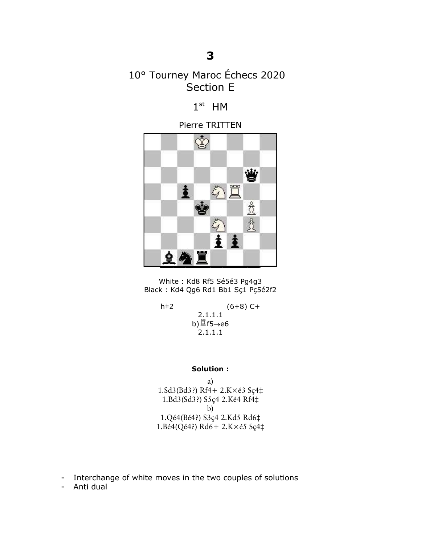## 10° Tourney Maroc Échecs 2020 Section E

 $1<sup>st</sup>$  HM

Pierre TRITTEN



White : Kd8 Rf5 Sé5é3 Pg4g3 Black : Kd4 Qg6 Rd1 Bb1 Sç1 Pç5é2f2

h‡2 (6+8) C+

2.1.1.1 b) $\mathbb{I}$ f5 $\rightarrow$ e6 2.1.1.1

Solution :

a) 1.Sd3(Bd3?) Rf4+ 2.K×é3 Sç4‡ 1.Bd3(Sd3?) S5ç4 2.Ké4 Rf4‡ b) 1.Qé4(Bé4?) S3ç4 2.Kd5 Rd6‡ 1.Bé4(Qé4?) Rd6+ 2.K×é5 Sç4‡

- Interchange of white moves in the two couples of solutions

- Anti dual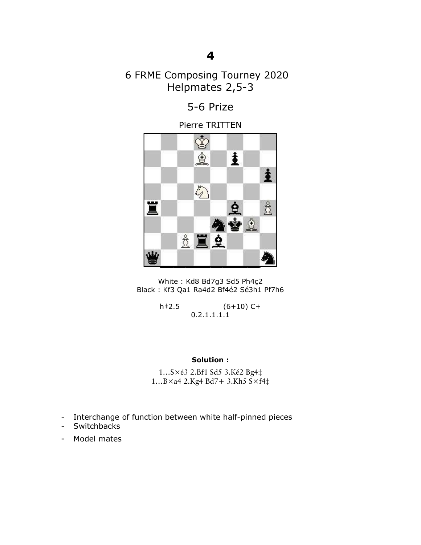## 6 FRME Composing Tourney 2020 Helpmates 2,5-3

## 5-6 Prize

Pierre TRITTEN



White : Kd8 Bd7g3 Sd5 Ph4ç2 Black : Kf3 Qa1 Ra4d2 Bf4é2 Sé3h1 Pf7h6

> h‡2.5 (6+10) C+ 0.2.1.1.1.1

### Solution :

1…S×é3 2.Bf1 Sd5 3.Ké2 Bg4‡ 1…B×a4 2.Kg4 Bd7+ 3.Kh5 S×f4‡

- Interchange of function between white half-pinned pieces
- Switchbacks
- Model mates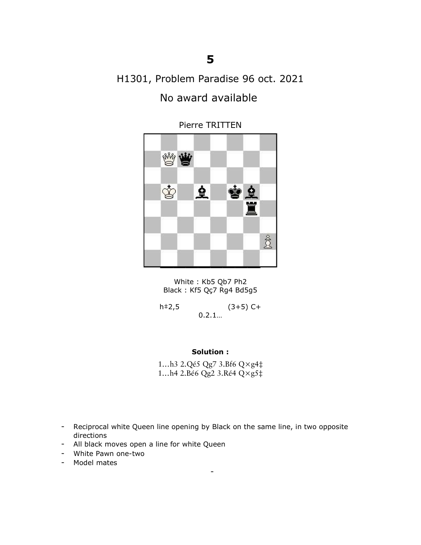# H1301, Problem Paradise 96 oct. 2021 No award available



Pierre TRITTEN

White : Kb5 Qb7 Ph2 Black : Kf5 Qç7 Rg4 Bd5g5

 $h \neq 2,5$  (3+5) C+ 0.2.1…

#### Solution :

1…h3 2.Qé5 Qg7 3.Bf6 Q×g4‡ 1…h4 2.Bé6 Qg2 3.Ré4 Q×g5‡

- Reciprocal white Queen line opening by Black on the same line, in two opposite directions

-

- All black moves open a line for white Queen
- White Pawn one-two
- Model mates